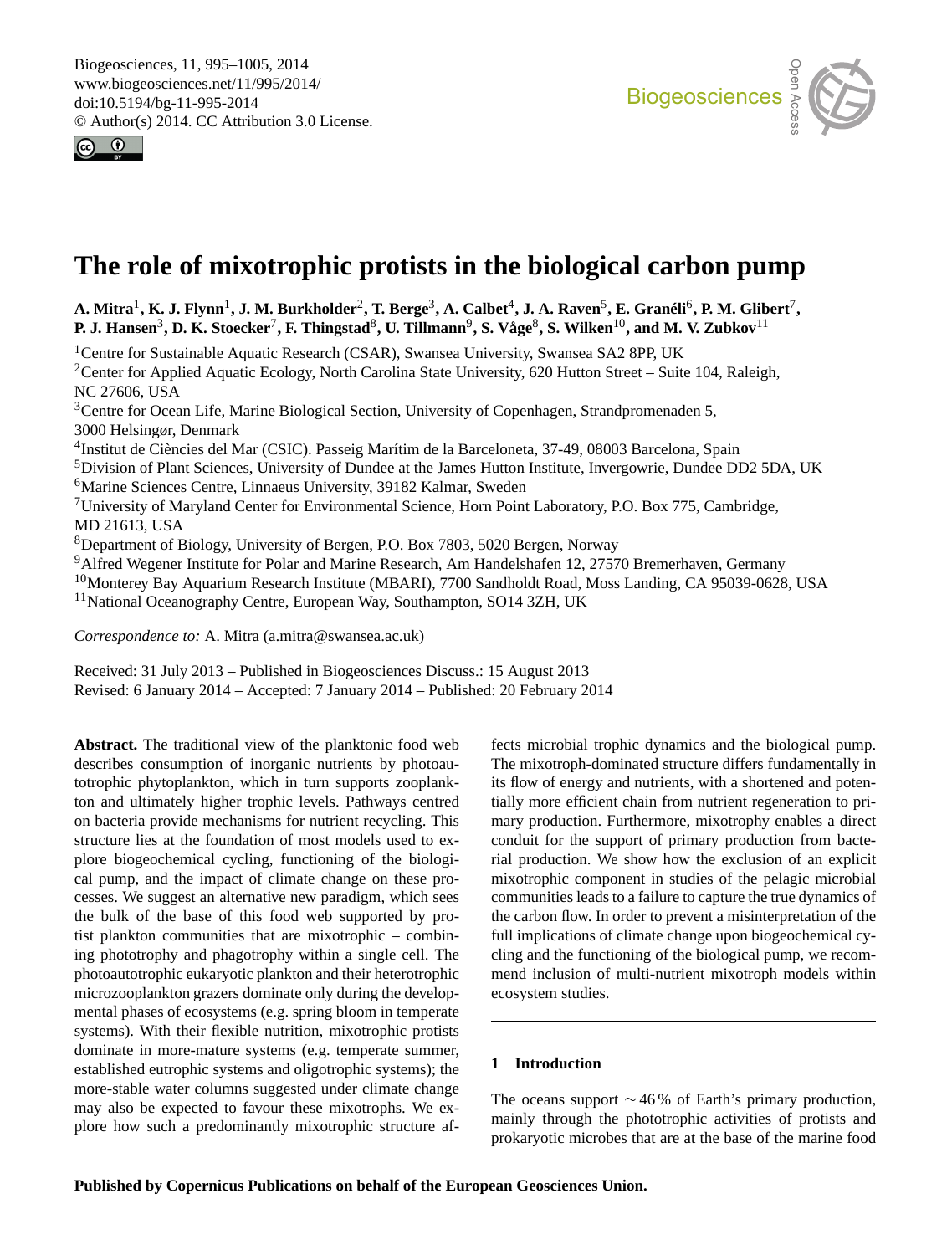<span id="page-0-0"></span>



# **The role of mixotrophic protists in the biological carbon pump**

A. Mitra<sup>1</sup>, K. J. Flynn<sup>1</sup>, J. M. Burkholder<sup>2</sup>, T. Berge<sup>3</sup>, A. Calbet<sup>4</sup>, J. A. Raven<sup>5</sup>, E. Granéli<sup>6</sup>, P. M. Glibert<sup>7</sup>, **P. J. Hansen**<sup>3</sup> **, D. K. Stoecker**<sup>7</sup> **, F. Thingstad**<sup>8</sup> **, U. Tillmann**<sup>9</sup> **, S. Våge**<sup>8</sup> **, S. Wilken**10**, and M. V. Zubkov**<sup>11</sup>

<sup>1</sup>Centre for Sustainable Aquatic Research (CSAR), Swansea University, Swansea SA2 8PP, UK <sup>2</sup>Center for Applied Aquatic Ecology, North Carolina State University, 620 Hutton Street – Suite 104, Raleigh, NC 27606, USA <sup>3</sup>Centre for Ocean Life, Marine Biological Section, University of Copenhagen, Strandpromenaden 5, 3000 Helsingør, Denmark 4 Institut de Ciències del Mar (CSIC). Passeig Marítim de la Barceloneta, 37-49, 08003 Barcelona, Spain <sup>5</sup>Division of Plant Sciences, University of Dundee at the James Hutton Institute, Invergowrie, Dundee DD2 5DA, UK <sup>6</sup>Marine Sciences Centre, Linnaeus University, 39182 Kalmar, Sweden <sup>7</sup>University of Maryland Center for Environmental Science, Horn Point Laboratory, P.O. Box 775, Cambridge, MD 21613, USA <sup>8</sup>Department of Biology, University of Bergen, P.O. Box 7803, 5020 Bergen, Norway <sup>9</sup>Alfred Wegener Institute for Polar and Marine Research, Am Handelshafen 12, 27570 Bremerhaven, Germany <sup>10</sup>Monterey Bay Aquarium Research Institute (MBARI), 7700 Sandholdt Road, Moss Landing, CA 95039-0628, USA

<sup>11</sup>National Oceanography Centre, European Way, Southampton, SO14 3ZH, UK

*Correspondence to:* A. Mitra (a.mitra@swansea.ac.uk)

Received: 31 July 2013 – Published in Biogeosciences Discuss.: 15 August 2013 Revised: 6 January 2014 – Accepted: 7 January 2014 – Published: 20 February 2014

**Abstract.** The traditional view of the planktonic food web describes consumption of inorganic nutrients by photoautotrophic phytoplankton, which in turn supports zooplankton and ultimately higher trophic levels. Pathways centred on bacteria provide mechanisms for nutrient recycling. This structure lies at the foundation of most models used to explore biogeochemical cycling, functioning of the biological pump, and the impact of climate change on these processes. We suggest an alternative new paradigm, which sees the bulk of the base of this food web supported by protist plankton communities that are mixotrophic – combining phototrophy and phagotrophy within a single cell. The photoautotrophic eukaryotic plankton and their heterotrophic microzooplankton grazers dominate only during the developmental phases of ecosystems (e.g. spring bloom in temperate systems). With their flexible nutrition, mixotrophic protists dominate in more-mature systems (e.g. temperate summer, established eutrophic systems and oligotrophic systems); the more-stable water columns suggested under climate change may also be expected to favour these mixotrophs. We explore how such a predominantly mixotrophic structure affects microbial trophic dynamics and the biological pump. The mixotroph-dominated structure differs fundamentally in its flow of energy and nutrients, with a shortened and potentially more efficient chain from nutrient regeneration to primary production. Furthermore, mixotrophy enables a direct conduit for the support of primary production from bacterial production. We show how the exclusion of an explicit mixotrophic component in studies of the pelagic microbial communities leads to a failure to capture the true dynamics of the carbon flow. In order to prevent a misinterpretation of the full implications of climate change upon biogeochemical cycling and the functioning of the biological pump, we recommend inclusion of multi-nutrient mixotroph models within ecosystem studies.

# **1 Introduction**

The oceans support  $\sim$  46% of Earth's primary production, mainly through the phototrophic activities of protists and prokaryotic microbes that are at the base of the marine food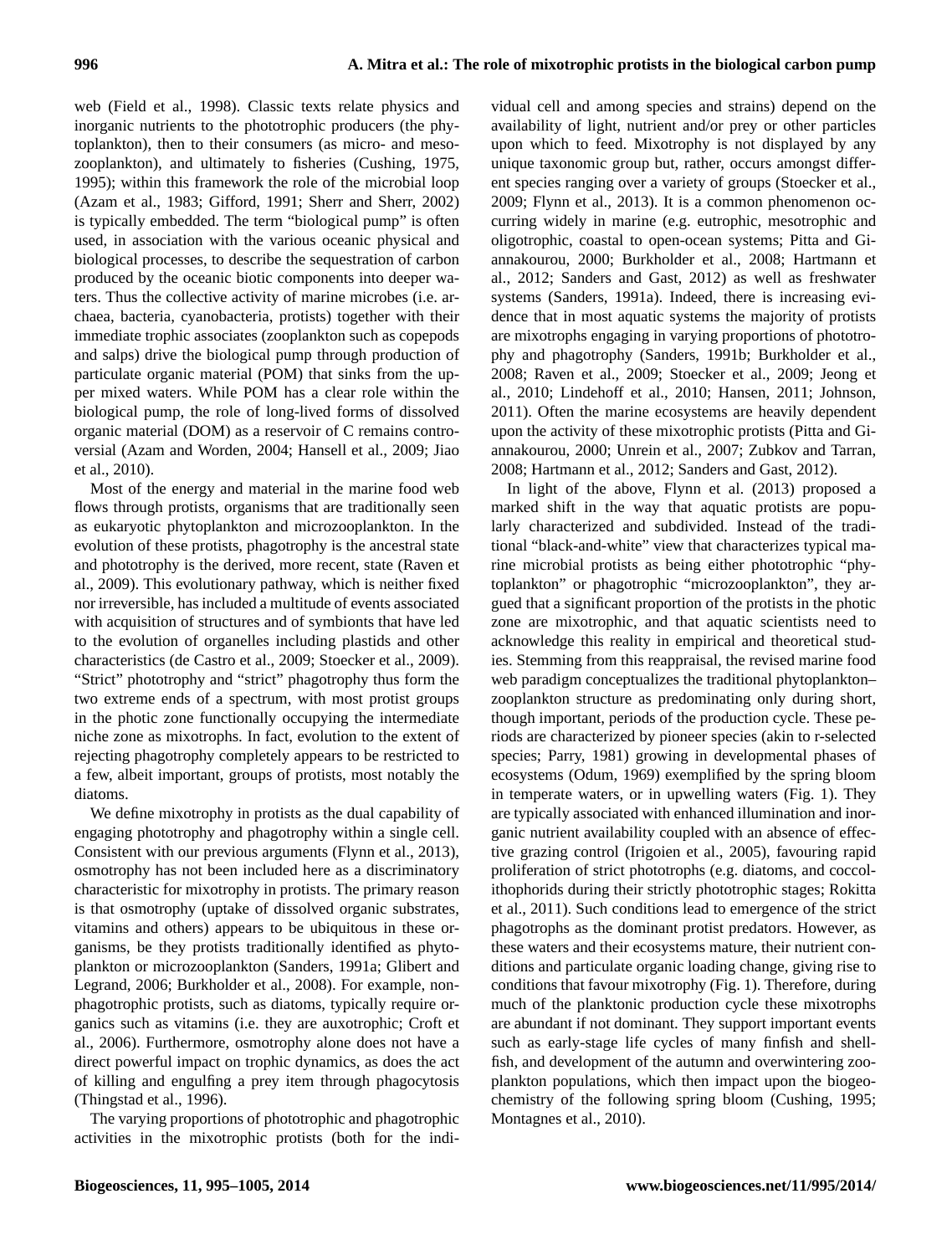web (Field et al., 1998). Classic texts relate physics and inorganic nutrients to the phototrophic producers (the phytoplankton), then to their consumers (as micro- and mesozooplankton), and ultimately to fisheries (Cushing, 1975, 1995); within this framework the role of the microbial loop (Azam et al., 1983; Gifford, 1991; Sherr and Sherr, 2002) is typically embedded. The term "biological pump" is often used, in association with the various oceanic physical and biological processes, to describe the sequestration of carbon produced by the oceanic biotic components into deeper waters. Thus the collective activity of marine microbes (i.e. archaea, bacteria, cyanobacteria, protists) together with their immediate trophic associates (zooplankton such as copepods and salps) drive the biological pump through production of particulate organic material (POM) that sinks from the upper mixed waters. While POM has a clear role within the biological pump, the role of long-lived forms of dissolved organic material (DOM) as a reservoir of C remains controversial (Azam and Worden, 2004; Hansell et al., 2009; Jiao et al., 2010).

Most of the energy and material in the marine food web flows through protists, organisms that are traditionally seen as eukaryotic phytoplankton and microzooplankton. In the evolution of these protists, phagotrophy is the ancestral state and phototrophy is the derived, more recent, state (Raven et al., 2009). This evolutionary pathway, which is neither fixed nor irreversible, has included a multitude of events associated with acquisition of structures and of symbionts that have led to the evolution of organelles including plastids and other characteristics (de Castro et al., 2009; Stoecker et al., 2009). "Strict" phototrophy and "strict" phagotrophy thus form the two extreme ends of a spectrum, with most protist groups in the photic zone functionally occupying the intermediate niche zone as mixotrophs. In fact, evolution to the extent of rejecting phagotrophy completely appears to be restricted to a few, albeit important, groups of protists, most notably the diatoms.

We define mixotrophy in protists as the dual capability of engaging phototrophy and phagotrophy within a single cell. Consistent with our previous arguments (Flynn et al., 2013), osmotrophy has not been included here as a discriminatory characteristic for mixotrophy in protists. The primary reason is that osmotrophy (uptake of dissolved organic substrates, vitamins and others) appears to be ubiquitous in these organisms, be they protists traditionally identified as phytoplankton or microzooplankton (Sanders, 1991a; Glibert and Legrand, 2006; Burkholder et al., 2008). For example, nonphagotrophic protists, such as diatoms, typically require organics such as vitamins (i.e. they are auxotrophic; Croft et al., 2006). Furthermore, osmotrophy alone does not have a direct powerful impact on trophic dynamics, as does the act of killing and engulfing a prey item through phagocytosis (Thingstad et al., 1996).

The varying proportions of phototrophic and phagotrophic activities in the mixotrophic protists (both for the indi-

vidual cell and among species and strains) depend on the availability of light, nutrient and/or prey or other particles upon which to feed. Mixotrophy is not displayed by any unique taxonomic group but, rather, occurs amongst different species ranging over a variety of groups (Stoecker et al., 2009; Flynn et al., 2013). It is a common phenomenon occurring widely in marine (e.g. eutrophic, mesotrophic and oligotrophic, coastal to open-ocean systems; Pitta and Giannakourou, 2000; Burkholder et al., 2008; Hartmann et al., 2012; Sanders and Gast, 2012) as well as freshwater systems (Sanders, 1991a). Indeed, there is increasing evidence that in most aquatic systems the majority of protists are mixotrophs engaging in varying proportions of phototrophy and phagotrophy (Sanders, 1991b; Burkholder et al., 2008; Raven et al., 2009; Stoecker et al., 2009; Jeong et al., 2010; Lindehoff et al., 2010; Hansen, 2011; Johnson, 2011). Often the marine ecosystems are heavily dependent upon the activity of these mixotrophic protists (Pitta and Giannakourou, 2000; Unrein et al., 2007; Zubkov and Tarran, 2008; Hartmann et al., 2012; Sanders and Gast, 2012).

In light of the above, Flynn et al. (2013) proposed a marked shift in the way that aquatic protists are popularly characterized and subdivided. Instead of the traditional "black-and-white" view that characterizes typical marine microbial protists as being either phototrophic "phytoplankton" or phagotrophic "microzooplankton", they argued that a significant proportion of the protists in the photic zone are mixotrophic, and that aquatic scientists need to acknowledge this reality in empirical and theoretical studies. Stemming from this reappraisal, the revised marine food web paradigm conceptualizes the traditional phytoplankton– zooplankton structure as predominating only during short, though important, periods of the production cycle. These periods are characterized by pioneer species (akin to r-selected species; Parry, 1981) growing in developmental phases of ecosystems (Odum, 1969) exemplified by the spring bloom in temperate waters, or in upwelling waters (Fig. 1). They are typically associated with enhanced illumination and inorganic nutrient availability coupled with an absence of effective grazing control (Irigoien et al., 2005), favouring rapid proliferation of strict phototrophs (e.g. diatoms, and coccolithophorids during their strictly phototrophic stages; Rokitta et al., 2011). Such conditions lead to emergence of the strict phagotrophs as the dominant protist predators. However, as these waters and their ecosystems mature, their nutrient conditions and particulate organic loading change, giving rise to conditions that favour mixotrophy (Fig. 1). Therefore, during much of the planktonic production cycle these mixotrophs are abundant if not dominant. They support important events such as early-stage life cycles of many finfish and shellfish, and development of the autumn and overwintering zooplankton populations, which then impact upon the biogeochemistry of the following spring bloom (Cushing, 1995; Montagnes et al., 2010).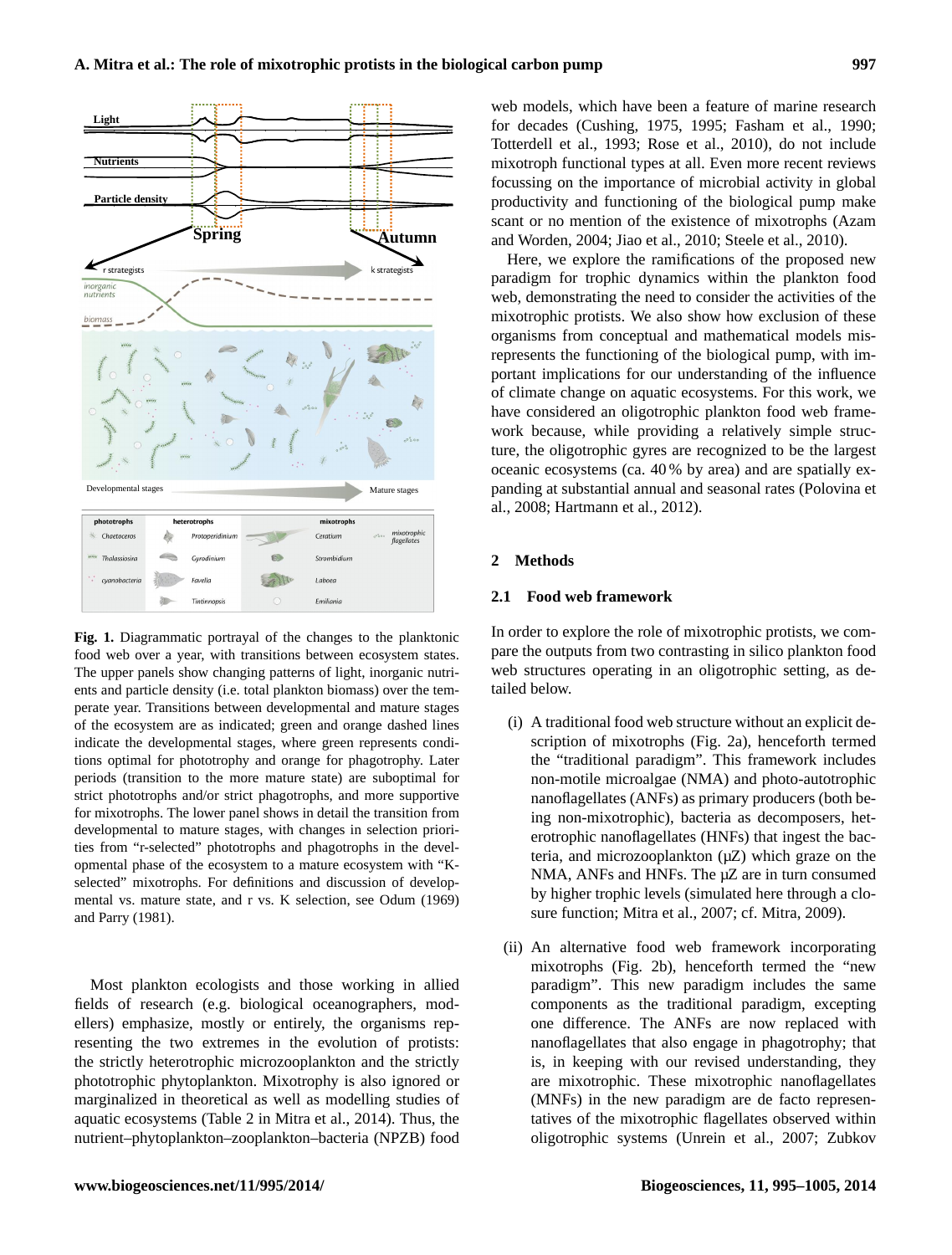

food web over a year, with transitions between ecosystem states. **Fig. 1.** Diagrammatic portrayal of the changes to the planktonic The upper panels show changing patterns of light, inorganic nutrients and particle density (i.e. total plankton biomass) over the temperate year. Transitions between developmental and mature stages of the ecosystem are as indicated; green and orange dashed lines indicate the developmental stages, where green represents conditions optimal for phototrophy and orange for phagotrophy. Later periods (transition to the more mature state) are suboptimal for strict phototrophs and/or strict phagotrophs, and more supportive for mixotrophs. The lower panel shows in detail the transition from developmental to mature stages, with changes in selection priorities from "r-selected" phototrophs and phagotrophs in the developmental phase of the ecosystem to a mature ecosystem with "Kselected" mixotrophs. For definitions and discussion of developmental vs. mature state, and r vs. K selection, see Odum (1969) and Parry (1981).

Most plankton ecologists and those working in allied fields of research (e.g. biological oceanographers, modellers) emphasize, mostly or entirely, the organisms representing the two extremes in the evolution of protists: the strictly heterotrophic microzooplankton and the strictly phototrophic phytoplankton. Mixotrophy is also ignored or marginalized in theoretical as well as modelling studies of aquatic ecosystems (Table 2 in Mitra et al., 2014). Thus, the nutrient–phytoplankton–zooplankton–bacteria (NPZB) food

**Spring Autumn** and Worden, 2004; Jiao et al., 2010; Steele et al., 2010). web models, which have been a feature of marine research for decades (Cushing, 1975, 1995; Fasham et al., 1990; Totterdell et al., 1993; Rose et al., 2010), do not include mixotroph functional types at all. Even more recent reviews focussing on the importance of microbial activity in global productivity and functioning of the biological pump make scant or no mention of the existence of mixotrophs (Azam

> Here, we explore the ramifications of the proposed new paradigm for trophic dynamics within the plankton food web, demonstrating the need to consider the activities of the mixotrophic protists. We also show how exclusion of these organisms from conceptual and mathematical models misrepresents the functioning of the biological pump, with important implications for our understanding of the influence of climate change on aquatic ecosystems. For this work, we have considered an oligotrophic plankton food web framework because, while providing a relatively simple structure, the oligotrophic gyres are recognized to be the largest oceanic ecosystems (ca. 40 % by area) and are spatially expanding at substantial annual and seasonal rates (Polovina et al., 2008; Hartmann et al., 2012).

#### **2 Methods**

#### **2.1 Food web framework**

In order to explore the role of mixotrophic protists, we compare the outputs from two contrasting in silico plankton food web structures operating in an oligotrophic setting, as detailed below.

- (i) A traditional food web structure without an explicit description of mixotrophs (Fig. 2a), henceforth termed the "traditional paradigm". This framework includes non-motile microalgae (NMA) and photo-autotrophic nanoflagellates (ANFs) as primary producers (both being non-mixotrophic), bacteria as decomposers, heterotrophic nanoflagellates (HNFs) that ingest the bacteria, and microzooplankton  $(\mu Z)$  which graze on the NMA, ANFs and HNFs. The  $\mu$ Z are in turn consumed by higher trophic levels (simulated here through a closure function; Mitra et al., 2007; cf. Mitra, 2009).
- (ii) An alternative food web framework incorporating mixotrophs (Fig. 2b), henceforth termed the "new paradigm". This new paradigm includes the same components as the traditional paradigm, excepting one difference. The ANFs are now replaced with nanoflagellates that also engage in phagotrophy; that is, in keeping with our revised understanding, they are mixotrophic. These mixotrophic nanoflagellates (MNFs) in the new paradigm are de facto representatives of the mixotrophic flagellates observed within oligotrophic systems (Unrein et al., 2007; Zubkov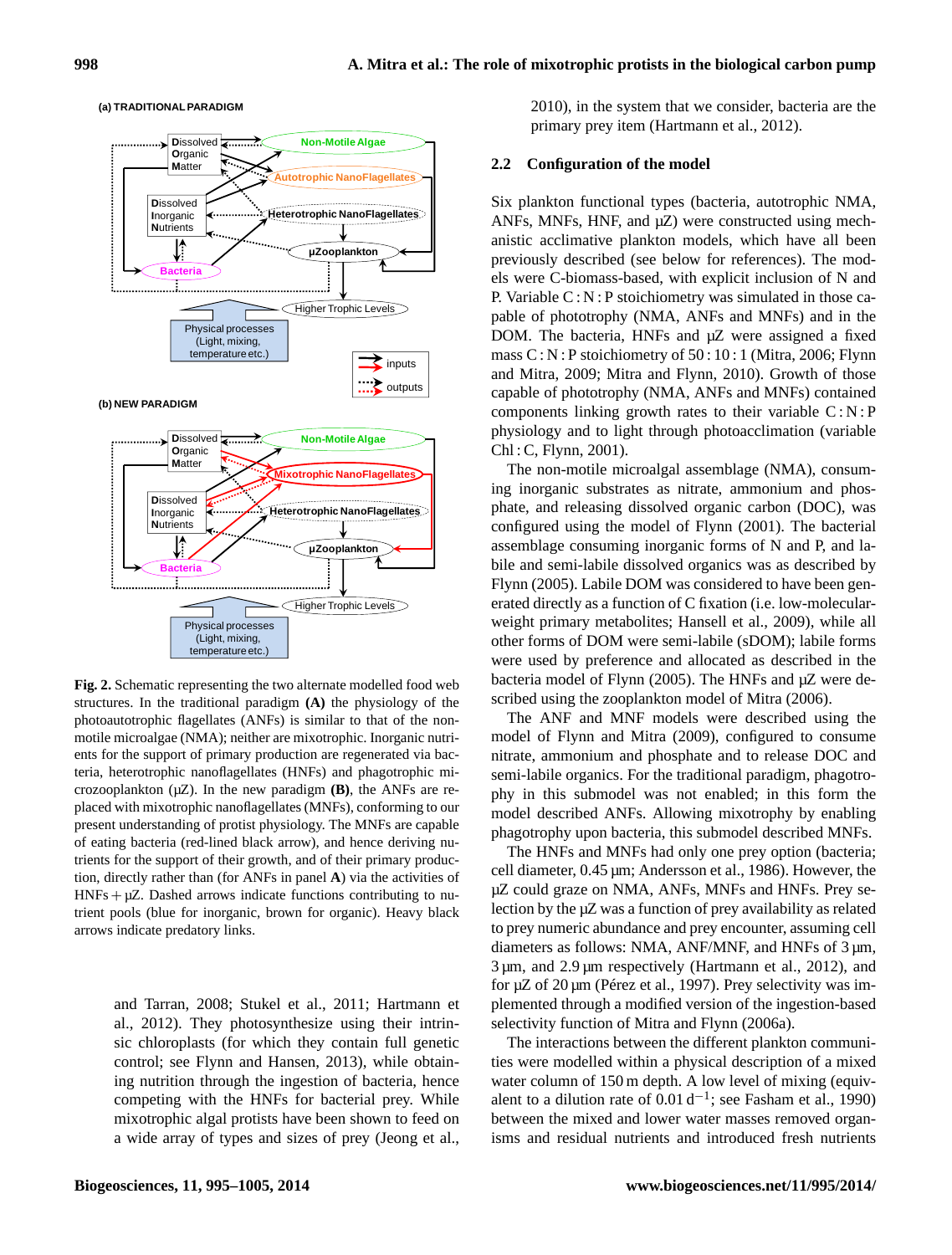

#### **(a) TRADITIONAL PARADIGM**

**Fig. 2.** Schematic representing the two alternate modelled food web structures. In the traditional paradigm **(A)** the physiology of the photoautotrophic flagellates (ANFs) is similar to that of the nonmotile microalgae (NMA); neither are mixotrophic. Inorganic nutrients for the support of primary production are regenerated via bacteria, heterotrophic nanoflagellates (HNFs) and phagotrophic microzooplankton  $(\mu Z)$ . In the new paradigm **(B)**, the ANFs are replaced with mixotrophic nanoflagellates (MNFs), conforming to our present understanding of protist physiology. The MNFs are capable of eating bacteria (red-lined black arrow), and hence deriving nutrients for the support of their growth, and of their primary production, directly rather than (for ANFs in panel **A**) via the activities of  $HNFs + \mu Z$ . Dashed arrows indicate functions contributing to nutrient pools (blue for inorganic, brown for organic). Heavy black arrows indicate predatory links.

and Tarran, 2008; Stukel et al., 2011; Hartmann et al., 2012). They photosynthesize using their intrinsic chloroplasts (for which they contain full genetic control; see Flynn and Hansen, 2013), while obtaining nutrition through the ingestion of bacteria, hence competing with the HNFs for bacterial prey. While mixotrophic algal protists have been shown to feed on a wide array of types and sizes of prey (Jeong et al., 2010), in the system that we consider, bacteria are the primary prey item (Hartmann et al., 2012).

#### **2.2 Configuration of the model**

Six plankton functional types (bacteria, autotrophic NMA, ANFs, MNFs, HNF, and  $\mu$ Z) were constructed using mechanistic acclimative plankton models, which have all been previously described (see below for references). The models were C-biomass-based, with explicit inclusion of N and P. Variable C : N : P stoichiometry was simulated in those capable of phototrophy (NMA, ANFs and MNFs) and in the DOM. The bacteria, HNFs and µZ were assigned a fixed mass C : N : P stoichiometry of 50 : 10 : 1 (Mitra, 2006; Flynn and Mitra, 2009; Mitra and Flynn, 2010). Growth of those capable of phototrophy (NMA, ANFs and MNFs) contained components linking growth rates to their variable  $C: N : P$ physiology and to light through photoacclimation (variable Chl : C, Flynn, 2001).

The non-motile microalgal assemblage (NMA), consuming inorganic substrates as nitrate, ammonium and phosphate, and releasing dissolved organic carbon (DOC), was configured using the model of Flynn (2001). The bacterial assemblage consuming inorganic forms of N and P, and labile and semi-labile dissolved organics was as described by Flynn (2005). Labile DOM was considered to have been generated directly as a function of C fixation (i.e. low-molecularweight primary metabolites; Hansell et al., 2009), while all other forms of DOM were semi-labile (sDOM); labile forms were used by preference and allocated as described in the bacteria model of Flynn (2005). The HNFs and µZ were described using the zooplankton model of Mitra (2006).

The ANF and MNF models were described using the model of Flynn and Mitra (2009), configured to consume nitrate, ammonium and phosphate and to release DOC and semi-labile organics. For the traditional paradigm, phagotrophy in this submodel was not enabled; in this form the model described ANFs. Allowing mixotrophy by enabling phagotrophy upon bacteria, this submodel described MNFs.

The HNFs and MNFs had only one prey option (bacteria; cell diameter, 0.45 µm; Andersson et al., 1986). However, the µZ could graze on NMA, ANFs, MNFs and HNFs. Prey selection by the µZ was a function of prey availability as related to prey numeric abundance and prey encounter, assuming cell diameters as follows: NMA, ANF/MNF, and HNFs of 3  $\mu$ m, 3 µm, and 2.9 µm respectively (Hartmann et al., 2012), and for µZ of 20 µm (Pérez et al., 1997). Prey selectivity was implemented through a modified version of the ingestion-based selectivity function of Mitra and Flynn (2006a).

The interactions between the different plankton communities were modelled within a physical description of a mixed water column of 150 m depth. A low level of mixing (equivalent to a dilution rate of  $0.01 d^{-1}$ ; see Fasham et al., 1990) between the mixed and lower water masses removed organisms and residual nutrients and introduced fresh nutrients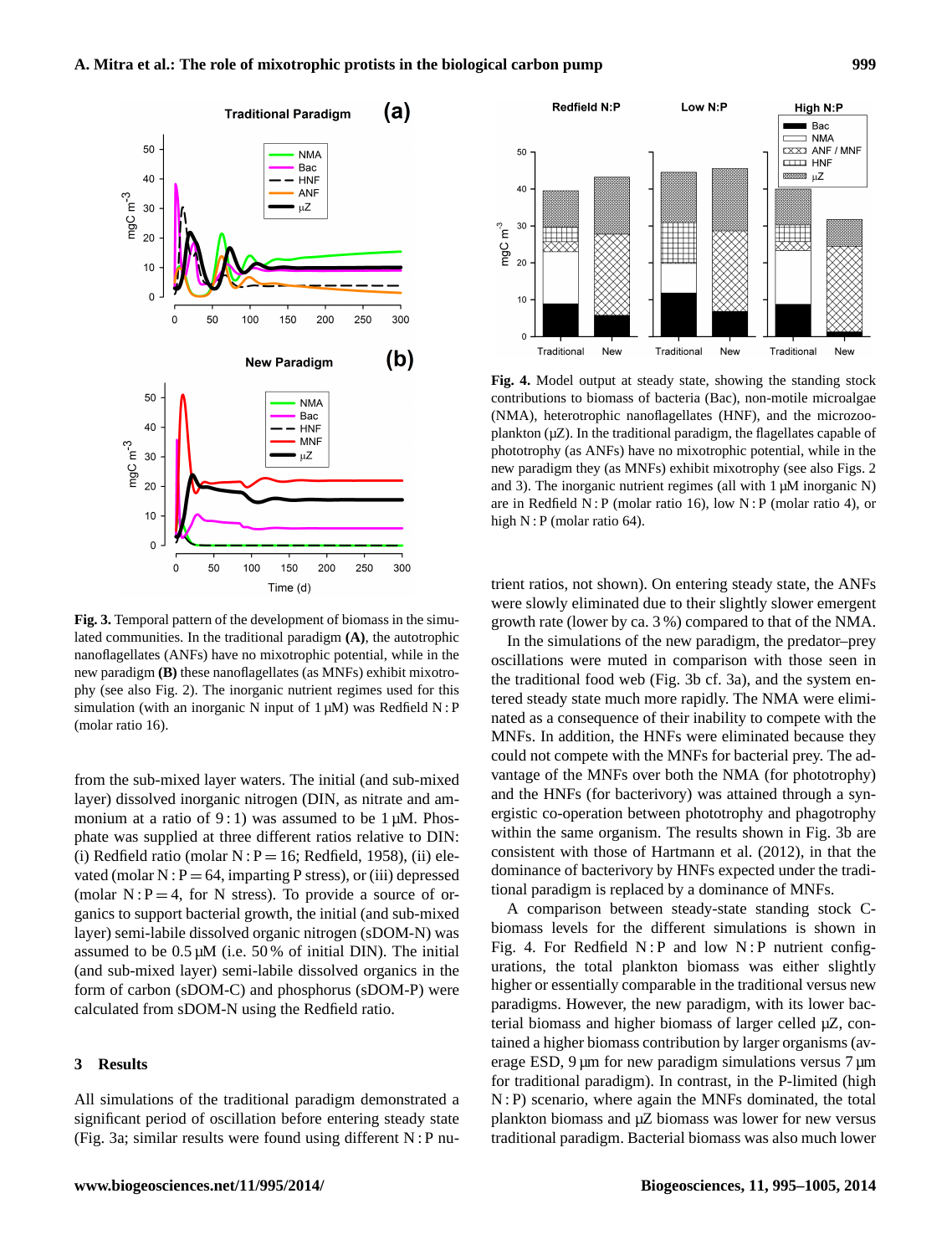

**Fig. 3.** Temporal pattern of the development of biomass in the simulated communities. In the traditional paradigm **(A)**, the autotrophic nanoflagellates (ANFs) have no mixotrophic potential, while in the new paradigm **(B)** these nanoflagellates (as MNFs) exhibit mixotrophy (see also Fig. 2). The inorganic nutrient regimes used for this simulation (with an inorganic N input of  $1 \mu M$ ) was Redfield N:P (molar ratio 16).

from the sub-mixed layer waters. The initial (and sub-mixed layer) dissolved inorganic nitrogen (DIN, as nitrate and ammonium at a ratio of  $9:1$ ) was assumed to be 1  $\mu$ M. Phosphate was supplied at three different ratios relative to DIN: (i) Redfield ratio (molar  $N : P = 16$ ; Redfield, 1958), (ii) elevated (molar  $N : P = 64$ , imparting P stress), or (iii) depressed (molar  $N : P = 4$ , for N stress). To provide a source of organics to support bacterial growth, the initial (and sub-mixed layer) semi-labile dissolved organic nitrogen (sDOM-N) was assumed to be  $0.5 \mu M$  (i.e. 50% of initial DIN). The initial (and sub-mixed layer) semi-labile dissolved organics in the form of carbon (sDOM-C) and phosphorus (sDOM-P) were calculated from sDOM-N using the Redfield ratio.

### **3 Results**

All simulations of the traditional paradigm demonstrated a significant period of oscillation before entering steady state (Fig. 3a; similar results were found using different N : P nu-



**Fig. 4.** Model output at steady state, showing the standing stock contributions to biomass of bacteria (Bac), non-motile microalgae (NMA), heterotrophic nanoflagellates (HNF), and the microzooplankton  $(\mu Z)$ . In the traditional paradigm, the flagellates capable of phototrophy (as ANFs) have no mixotrophic potential, while in the new paradigm they (as MNFs) exhibit mixotrophy (see also Figs. 2 and 3). The inorganic nutrient regimes (all with  $1 \mu$ M inorganic N) are in Redfield N : P (molar ratio 16), low N : P (molar ratio 4), or high N : P (molar ratio 64).

trient ratios, not shown). On entering steady state, the ANFs were slowly eliminated due to their slightly slower emergent growth rate (lower by ca. 3 %) compared to that of the NMA.

In the simulations of the new paradigm, the predator–prey oscillations were muted in comparison with those seen in the traditional food web (Fig. 3b cf. 3a), and the system entered steady state much more rapidly. The NMA were eliminated as a consequence of their inability to compete with the MNFs. In addition, the HNFs were eliminated because they could not compete with the MNFs for bacterial prey. The advantage of the MNFs over both the NMA (for phototrophy) and the HNFs (for bacterivory) was attained through a synergistic co-operation between phototrophy and phagotrophy within the same organism. The results shown in Fig. 3b are consistent with those of Hartmann et al. (2012), in that the dominance of bacterivory by HNFs expected under the traditional paradigm is replaced by a dominance of MNFs.

A comparison between steady-state standing stock Cbiomass levels for the different simulations is shown in Fig. 4. For Redfield  $N$ : P and low  $N$ : P nutrient configurations, the total plankton biomass was either slightly higher or essentially comparable in the traditional versus new paradigms. However, the new paradigm, with its lower bacterial biomass and higher biomass of larger celled µZ, contained a higher biomass contribution by larger organisms (average ESD,  $9 \mu m$  for new paradigm simulations versus  $7 \mu m$ for traditional paradigm). In contrast, in the P-limited (high N : P) scenario, where again the MNFs dominated, the total plankton biomass and µZ biomass was lower for new versus traditional paradigm. Bacterial biomass was also much lower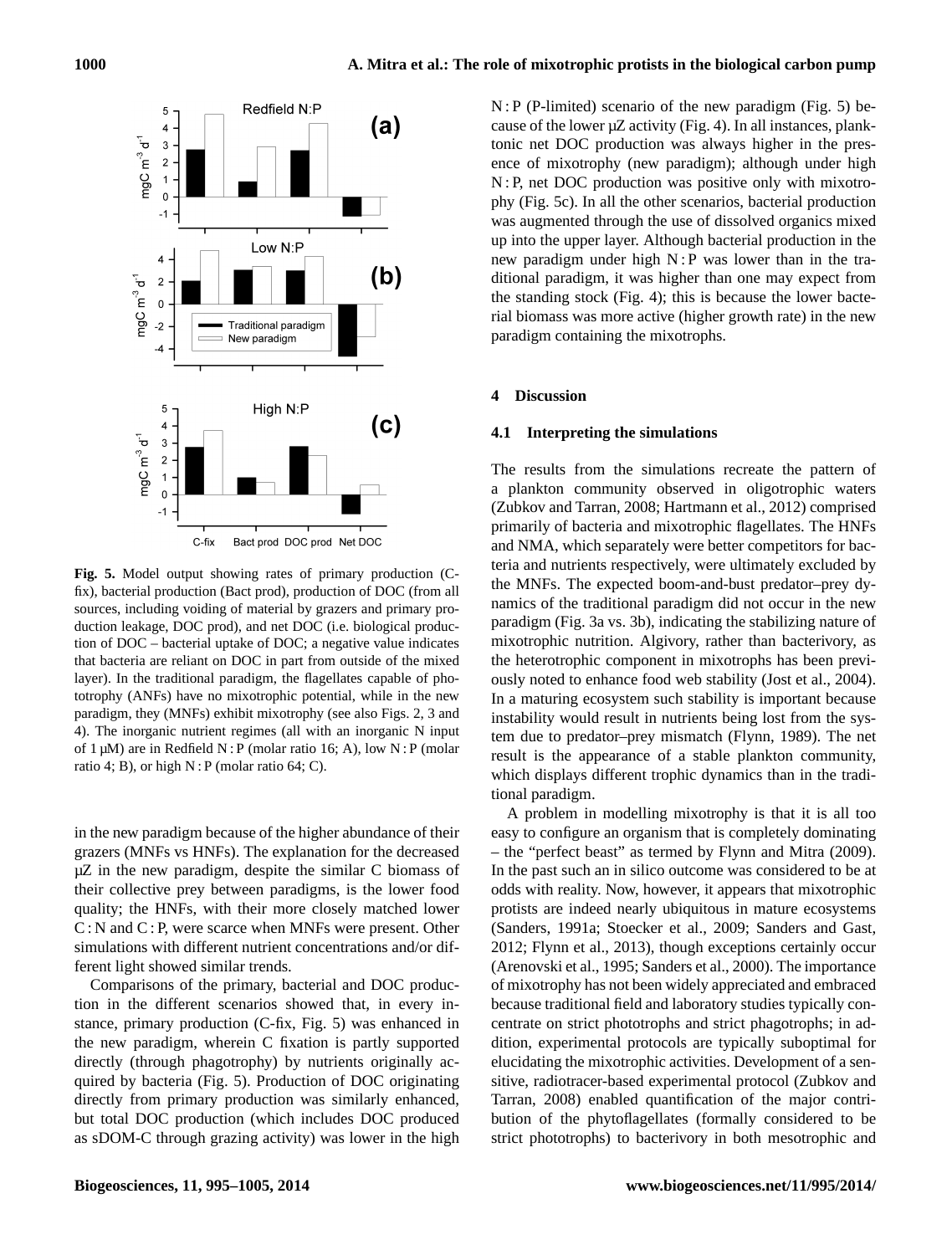

**Fig. 5.** Model output showing rates of primary production (Cfix), bacterial production (Bact prod), production of DOC (from all sources, including voiding of material by grazers and primary production leakage, DOC prod), and net DOC (i.e. biological production of DOC – bacterial uptake of DOC; a negative value indicates that bacteria are reliant on DOC in part from outside of the mixed layer). In the traditional paradigm, the flagellates capable of phototrophy (ANFs) have no mixotrophic potential, while in the new paradigm, they (MNFs) exhibit mixotrophy (see also Figs. 2, 3 and 4). The inorganic nutrient regimes (all with an inorganic N input of  $1 \mu M$ ) are in Redfield N : P (molar ratio 16; A), low N : P (molar ratio 4; B), or high  $N$ : P (molar ratio 64; C).

in the new paradigm because of the higher abundance of their grazers (MNFs vs HNFs). The explanation for the decreased  $\mu$ Z in the new paradigm, despite the similar C biomass of their collective prey between paradigms, is the lower food quality; the HNFs, with their more closely matched lower C : N and C : P, were scarce when MNFs were present. Other simulations with different nutrient concentrations and/or different light showed similar trends.

Comparisons of the primary, bacterial and DOC production in the different scenarios showed that, in every instance, primary production (C-fix, Fig. 5) was enhanced in the new paradigm, wherein C fixation is partly supported directly (through phagotrophy) by nutrients originally acquired by bacteria (Fig. 5). Production of DOC originating directly from primary production was similarly enhanced, but total DOC production (which includes DOC produced as sDOM-C through grazing activity) was lower in the high N : P (P-limited) scenario of the new paradigm (Fig. 5) because of the lower  $\mu$ Z activity (Fig. 4). In all instances, planktonic net DOC production was always higher in the presence of mixotrophy (new paradigm); although under high N : P, net DOC production was positive only with mixotrophy (Fig. 5c). In all the other scenarios, bacterial production was augmented through the use of dissolved organics mixed up into the upper layer. Although bacterial production in the new paradigm under high N : P was lower than in the traditional paradigm, it was higher than one may expect from the standing stock (Fig. 4); this is because the lower bacterial biomass was more active (higher growth rate) in the new paradigm containing the mixotrophs.

#### **4 Discussion**

# **4.1 Interpreting the simulations**

The results from the simulations recreate the pattern of a plankton community observed in oligotrophic waters (Zubkov and Tarran, 2008; Hartmann et al., 2012) comprised primarily of bacteria and mixotrophic flagellates. The HNFs and NMA, which separately were better competitors for bacteria and nutrients respectively, were ultimately excluded by the MNFs. The expected boom-and-bust predator–prey dynamics of the traditional paradigm did not occur in the new paradigm (Fig. 3a vs. 3b), indicating the stabilizing nature of mixotrophic nutrition. Algivory, rather than bacterivory, as the heterotrophic component in mixotrophs has been previously noted to enhance food web stability (Jost et al., 2004). In a maturing ecosystem such stability is important because instability would result in nutrients being lost from the system due to predator–prey mismatch (Flynn, 1989). The net result is the appearance of a stable plankton community, which displays different trophic dynamics than in the traditional paradigm.

A problem in modelling mixotrophy is that it is all too easy to configure an organism that is completely dominating – the "perfect beast" as termed by Flynn and Mitra (2009). In the past such an in silico outcome was considered to be at odds with reality. Now, however, it appears that mixotrophic protists are indeed nearly ubiquitous in mature ecosystems (Sanders, 1991a; Stoecker et al., 2009; Sanders and Gast, 2012; Flynn et al., 2013), though exceptions certainly occur (Arenovski et al., 1995; Sanders et al., 2000). The importance of mixotrophy has not been widely appreciated and embraced because traditional field and laboratory studies typically concentrate on strict phototrophs and strict phagotrophs; in addition, experimental protocols are typically suboptimal for elucidating the mixotrophic activities. Development of a sensitive, radiotracer-based experimental protocol (Zubkov and Tarran, 2008) enabled quantification of the major contribution of the phytoflagellates (formally considered to be strict phototrophs) to bacterivory in both mesotrophic and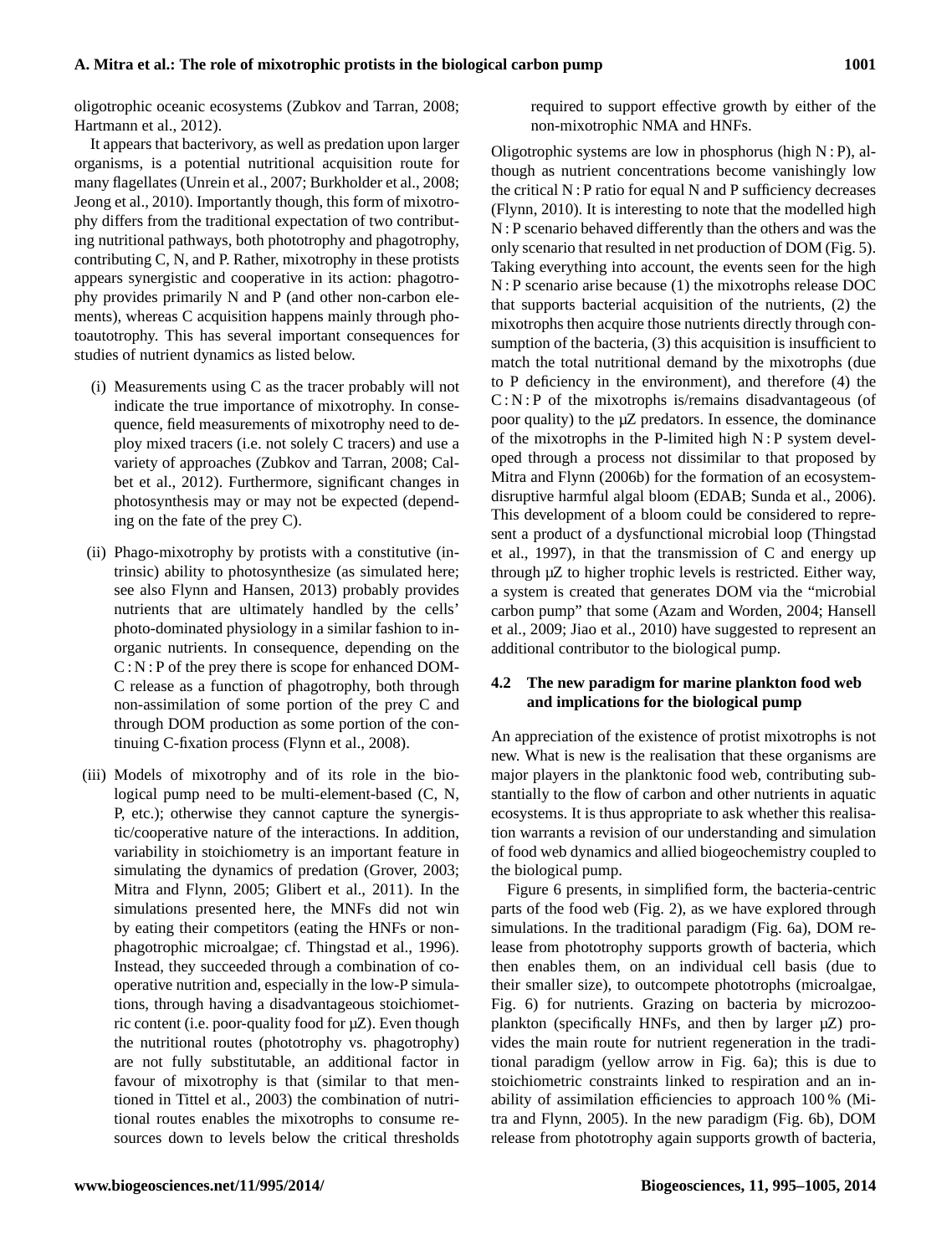oligotrophic oceanic ecosystems (Zubkov and Tarran, 2008; Hartmann et al., 2012).

It appears that bacterivory, as well as predation upon larger organisms, is a potential nutritional acquisition route for many flagellates (Unrein et al., 2007; Burkholder et al., 2008; Jeong et al., 2010). Importantly though, this form of mixotrophy differs from the traditional expectation of two contributing nutritional pathways, both phototrophy and phagotrophy, contributing C, N, and P. Rather, mixotrophy in these protists appears synergistic and cooperative in its action: phagotrophy provides primarily N and P (and other non-carbon elements), whereas C acquisition happens mainly through photoautotrophy. This has several important consequences for studies of nutrient dynamics as listed below.

- (i) Measurements using C as the tracer probably will not indicate the true importance of mixotrophy. In consequence, field measurements of mixotrophy need to deploy mixed tracers (i.e. not solely C tracers) and use a variety of approaches (Zubkov and Tarran, 2008; Calbet et al., 2012). Furthermore, significant changes in photosynthesis may or may not be expected (depending on the fate of the prey C).
- (ii) Phago-mixotrophy by protists with a constitutive (intrinsic) ability to photosynthesize (as simulated here; see also Flynn and Hansen, 2013) probably provides nutrients that are ultimately handled by the cells' photo-dominated physiology in a similar fashion to inorganic nutrients. In consequence, depending on the  $C : N : P$  of the prey there is scope for enhanced DOM-C release as a function of phagotrophy, both through non-assimilation of some portion of the prey C and through DOM production as some portion of the continuing C-fixation process (Flynn et al., 2008).
- (iii) Models of mixotrophy and of its role in the biological pump need to be multi-element-based (C, N, P, etc.); otherwise they cannot capture the synergistic/cooperative nature of the interactions. In addition, variability in stoichiometry is an important feature in simulating the dynamics of predation (Grover, 2003; Mitra and Flynn, 2005; Glibert et al., 2011). In the simulations presented here, the MNFs did not win by eating their competitors (eating the HNFs or nonphagotrophic microalgae; cf. Thingstad et al., 1996). Instead, they succeeded through a combination of cooperative nutrition and, especially in the low-P simulations, through having a disadvantageous stoichiometric content (i.e. poor-quality food for µZ). Even though the nutritional routes (phototrophy vs. phagotrophy) are not fully substitutable, an additional factor in favour of mixotrophy is that (similar to that mentioned in Tittel et al., 2003) the combination of nutritional routes enables the mixotrophs to consume resources down to levels below the critical thresholds

required to support effective growth by either of the non-mixotrophic NMA and HNFs.

Oligotrophic systems are low in phosphorus (high  $N : P$ ), although as nutrient concentrations become vanishingly low the critical N : P ratio for equal N and P sufficiency decreases (Flynn, 2010). It is interesting to note that the modelled high N : P scenario behaved differently than the others and was the only scenario that resulted in net production of DOM (Fig. 5). Taking everything into account, the events seen for the high N : P scenario arise because (1) the mixotrophs release DOC that supports bacterial acquisition of the nutrients, (2) the mixotrophs then acquire those nutrients directly through consumption of the bacteria, (3) this acquisition is insufficient to match the total nutritional demand by the mixotrophs (due to P deficiency in the environment), and therefore (4) the  $C: N: P$  of the mixotrophs is/remains disadvantageous (of poor quality) to the µZ predators. In essence, the dominance of the mixotrophs in the P-limited high  $N$ : P system developed through a process not dissimilar to that proposed by Mitra and Flynn (2006b) for the formation of an ecosystemdisruptive harmful algal bloom (EDAB; Sunda et al., 2006). This development of a bloom could be considered to represent a product of a dysfunctional microbial loop (Thingstad et al., 1997), in that the transmission of C and energy up through µZ to higher trophic levels is restricted. Either way, a system is created that generates DOM via the "microbial carbon pump" that some (Azam and Worden, 2004; Hansell et al., 2009; Jiao et al., 2010) have suggested to represent an additional contributor to the biological pump.

# **4.2 The new paradigm for marine plankton food web and implications for the biological pump**

An appreciation of the existence of protist mixotrophs is not new. What is new is the realisation that these organisms are major players in the planktonic food web, contributing substantially to the flow of carbon and other nutrients in aquatic ecosystems. It is thus appropriate to ask whether this realisation warrants a revision of our understanding and simulation of food web dynamics and allied biogeochemistry coupled to the biological pump.

Figure 6 presents, in simplified form, the bacteria-centric parts of the food web (Fig. 2), as we have explored through simulations. In the traditional paradigm (Fig. 6a), DOM release from phototrophy supports growth of bacteria, which then enables them, on an individual cell basis (due to their smaller size), to outcompete phototrophs (microalgae, Fig. 6) for nutrients. Grazing on bacteria by microzooplankton (specifically HNFs, and then by larger  $\mu Z$ ) provides the main route for nutrient regeneration in the traditional paradigm (yellow arrow in Fig. 6a); this is due to stoichiometric constraints linked to respiration and an inability of assimilation efficiencies to approach 100 % (Mitra and Flynn, 2005). In the new paradigm (Fig. 6b), DOM release from phototrophy again supports growth of bacteria,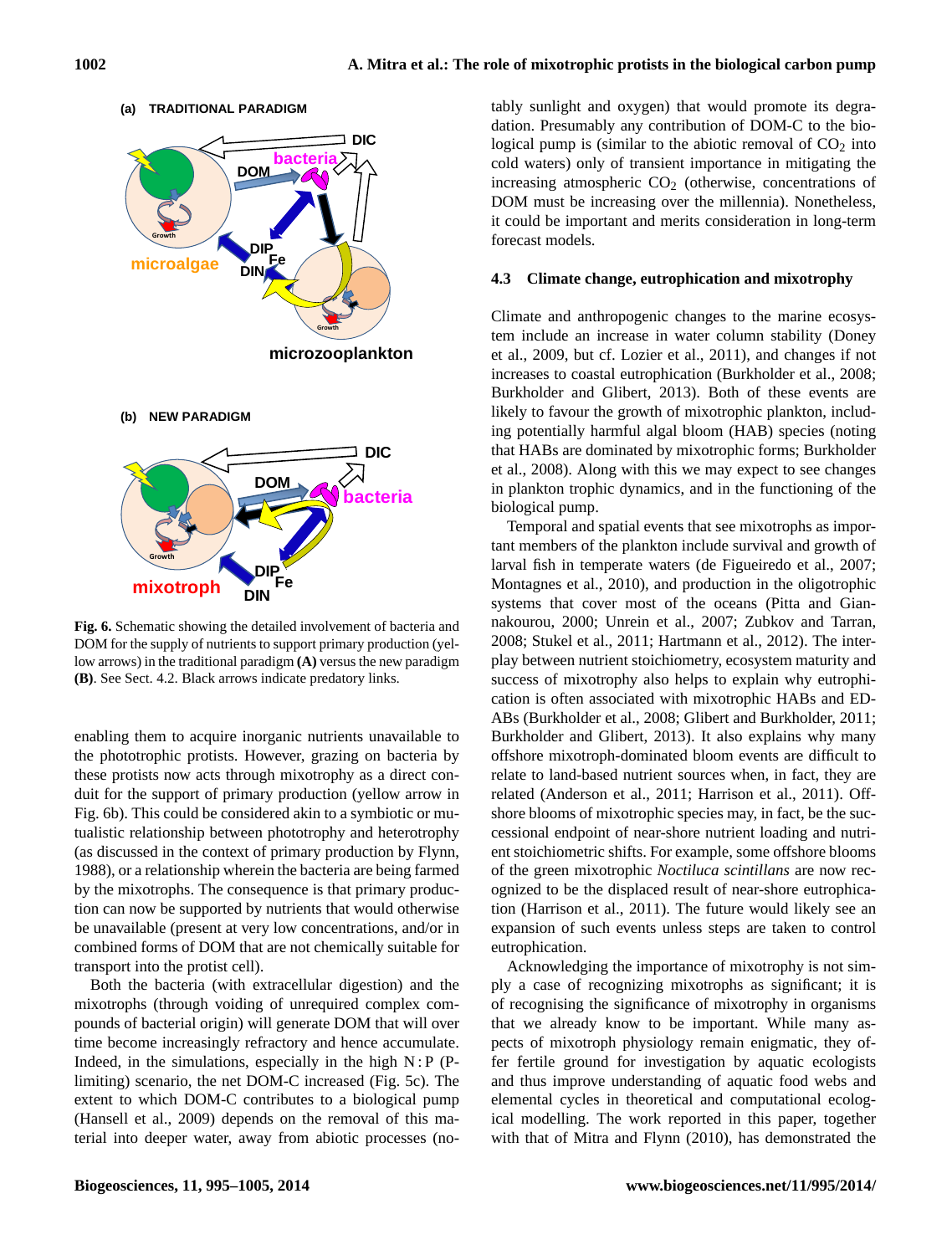

low arrows) in the traditional paradigm **(A)** versus the new paradigm **Fig. 6.** Schematic showing the detailed involvement of bacteria and DOM for the supply of nutrients to support primary production (yel-**(B)**. See Sect. 4.2. Black arrows indicate predatory links.

enabling them to acquire inorganic nutrients unavailable to the phototrophic protists. However, grazing on bacteria by these protists now acts through mixotrophy as a direct conduit for the support of primary production (yellow arrow in Fig. 6b). This could be considered akin to a symbiotic or mutualistic relationship between phototrophy and heterotrophy (as discussed in the context of primary production by Flynn, 1988), or a relationship wherein the bacteria are being farmed by the mixotrophs. The consequence is that primary production can now be supported by nutrients that would otherwise be unavailable (present at very low concentrations, and/or in combined forms of DOM that are not chemically suitable for transport into the protist cell).

Both the bacteria (with extracellular digestion) and the mixotrophs (through voiding of unrequired complex compounds of bacterial origin) will generate DOM that will over time become increasingly refractory and hence accumulate. Indeed, in the simulations, especially in the high  $N$ : P (Plimiting) scenario, the net DOM-C increased (Fig. 5c). The extent to which DOM-C contributes to a biological pump (Hansell et al., 2009) depends on the removal of this material into deeper water, away from abiotic processes (notably sunlight and oxygen) that would promote its degradation. Presumably any contribution of DOM-C to the biological pump is (similar to the abiotic removal of  $CO<sub>2</sub>$  into cold waters) only of transient importance in mitigating the increasing atmospheric  $CO<sub>2</sub>$  (otherwise, concentrations of DOM must be increasing over the millennia). Nonetheless, it could be important and merits consideration in long-term forecast models.

### **4.3 Climate change, eutrophication and mixotrophy**

Climate and anthropogenic changes to the marine ecosystem include an increase in water column stability (Doney et al., 2009, but cf. Lozier et al., 2011), and changes if not increases to coastal eutrophication (Burkholder et al., 2008; Burkholder and Glibert, 2013). Both of these events are likely to favour the growth of mixotrophic plankton, including potentially harmful algal bloom (HAB) species (noting that HABs are dominated by mixotrophic forms; Burkholder et al., 2008). Along with this we may expect to see changes in plankton trophic dynamics, and in the functioning of the biological pump.

Temporal and spatial events that see mixotrophs as important members of the plankton include survival and growth of larval fish in temperate waters (de Figueiredo et al., 2007; Montagnes et al., 2010), and production in the oligotrophic systems that cover most of the oceans (Pitta and Giannakourou, 2000; Unrein et al., 2007; Zubkov and Tarran, 2008; Stukel et al., 2011; Hartmann et al., 2012). The interplay between nutrient stoichiometry, ecosystem maturity and success of mixotrophy also helps to explain why eutrophication is often associated with mixotrophic HABs and ED-ABs (Burkholder et al., 2008; Glibert and Burkholder, 2011; Burkholder and Glibert, 2013). It also explains why many offshore mixotroph-dominated bloom events are difficult to relate to land-based nutrient sources when, in fact, they are related (Anderson et al., 2011; Harrison et al., 2011). Offshore blooms of mixotrophic species may, in fact, be the successional endpoint of near-shore nutrient loading and nutrient stoichiometric shifts. For example, some offshore blooms of the green mixotrophic *Noctiluca scintillans* are now recognized to be the displaced result of near-shore eutrophication (Harrison et al., 2011). The future would likely see an expansion of such events unless steps are taken to control eutrophication.

Acknowledging the importance of mixotrophy is not simply a case of recognizing mixotrophs as significant; it is of recognising the significance of mixotrophy in organisms that we already know to be important. While many aspects of mixotroph physiology remain enigmatic, they offer fertile ground for investigation by aquatic ecologists and thus improve understanding of aquatic food webs and elemental cycles in theoretical and computational ecological modelling. The work reported in this paper, together with that of Mitra and Flynn (2010), has demonstrated the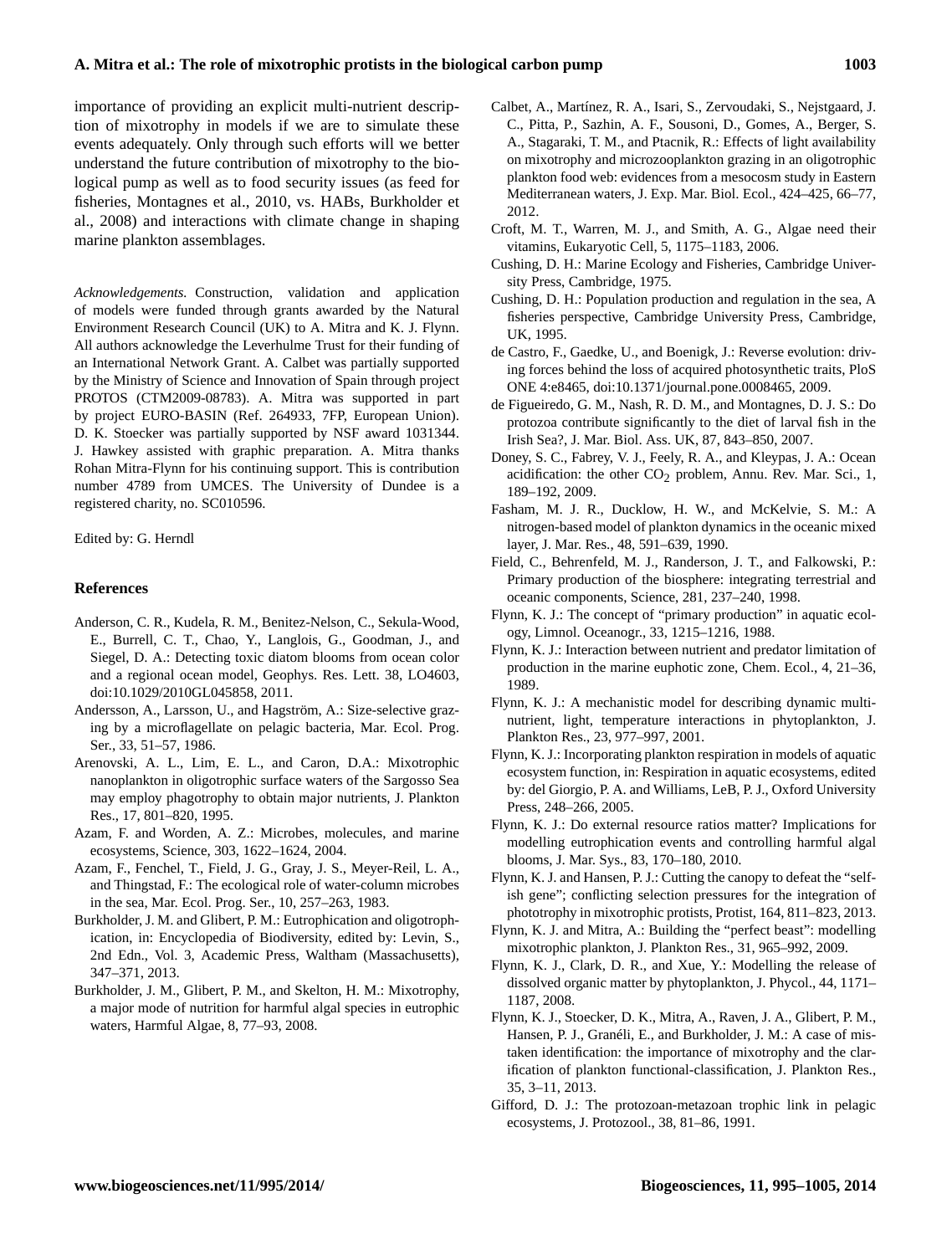importance of providing an explicit multi-nutrient description of mixotrophy in models if we are to simulate these events adequately. Only through such efforts will we better understand the future contribution of mixotrophy to the biological pump as well as to food security issues (as feed for fisheries, Montagnes et al., 2010, vs. HABs, Burkholder et al., 2008) and interactions with climate change in shaping marine plankton assemblages.

*Acknowledgements.* Construction, validation and application of models were funded through grants awarded by the Natural Environment Research Council (UK) to A. Mitra and K. J. Flynn. All authors acknowledge the Leverhulme Trust for their funding of an International Network Grant. A. Calbet was partially supported by the Ministry of Science and Innovation of Spain through project PROTOS (CTM2009-08783). A. Mitra was supported in part by project EURO-BASIN (Ref. 264933, 7FP, European Union). D. K. Stoecker was partially supported by NSF award 1031344. J. Hawkey assisted with graphic preparation. A. Mitra thanks Rohan Mitra-Flynn for his continuing support. This is contribution number 4789 from UMCES. The University of Dundee is a registered charity, no. SC010596.

Edited by: G. Herndl

#### **References**

- Anderson, C. R., Kudela, R. M., Benitez-Nelson, C., Sekula-Wood, E., Burrell, C. T., Chao, Y., Langlois, G., Goodman, J., and Siegel, D. A.: Detecting toxic diatom blooms from ocean color and a regional ocean model, Geophys. Res. Lett. 38, LO4603, doi[:10.1029/2010GL045858,](http://dx.doi.org/10.1029/2010GL045858) 2011.
- Andersson, A., Larsson, U., and Hagström, A.: Size-selective grazing by a microflagellate on pelagic bacteria, Mar. Ecol. Prog. Ser., 33, 51–57, 1986.
- Arenovski, A. L., Lim, E. L., and Caron, D.A.: Mixotrophic nanoplankton in oligotrophic surface waters of the Sargosso Sea may employ phagotrophy to obtain major nutrients, J. Plankton Res., 17, 801–820, 1995.
- Azam, F. and Worden, A. Z.: Microbes, molecules, and marine ecosystems, Science, 303, 1622–1624, 2004.
- Azam, F., Fenchel, T., Field, J. G., Gray, J. S., Meyer-Reil, L. A., and Thingstad, F.: The ecological role of water-column microbes in the sea, Mar. Ecol. Prog. Ser., 10, 257–263, 1983.
- Burkholder, J. M. and Glibert, P. M.: Eutrophication and oligotrophication, in: Encyclopedia of Biodiversity, edited by: Levin, S., 2nd Edn., Vol. 3, Academic Press, Waltham (Massachusetts), 347–371, 2013.
- Burkholder, J. M., Glibert, P. M., and Skelton, H. M.: Mixotrophy, a major mode of nutrition for harmful algal species in eutrophic waters, Harmful Algae, 8, 77–93, 2008.
- Calbet, A., Martínez, R. A., Isari, S., Zervoudaki, S., Nejstgaard, J. C., Pitta, P., Sazhin, A. F., Sousoni, D., Gomes, A., Berger, S. A., Stagaraki, T. M., and Ptacnik, R.: Effects of light availability on mixotrophy and microzooplankton grazing in an oligotrophic plankton food web: evidences from a mesocosm study in Eastern Mediterranean waters, J. Exp. Mar. Biol. Ecol., 424–425, 66–77, 2012.
- Croft, M. T., Warren, M. J., and Smith, A. G., Algae need their vitamins, Eukaryotic Cell, 5, 1175–1183, 2006.
- Cushing, D. H.: Marine Ecology and Fisheries, Cambridge University Press, Cambridge, 1975.
- Cushing, D. H.: Population production and regulation in the sea, A fisheries perspective, Cambridge University Press, Cambridge, UK, 1995.
- de Castro, F., Gaedke, U., and Boenigk, J.: Reverse evolution: driving forces behind the loss of acquired photosynthetic traits, PloS ONE 4:e8465, doi[:10.1371/journal.pone.0008465,](http://dx.doi.org/10.1371/journal.pone.0008465) 2009.
- de Figueiredo, G. M., Nash, R. D. M., and Montagnes, D. J. S.: Do protozoa contribute significantly to the diet of larval fish in the Irish Sea?, J. Mar. Biol. Ass. UK, 87, 843–850, 2007.
- Doney, S. C., Fabrey, V. J., Feely, R. A., and Kleypas, J. A.: Ocean acidification: the other  $CO<sub>2</sub>$  problem, Annu. Rev. Mar. Sci., 1, 189–192, 2009.
- Fasham, M. J. R., Ducklow, H. W., and McKelvie, S. M.: A nitrogen-based model of plankton dynamics in the oceanic mixed layer, J. Mar. Res., 48, 591–639, 1990.
- Field, C., Behrenfeld, M. J., Randerson, J. T., and Falkowski, P.: Primary production of the biosphere: integrating terrestrial and oceanic components, Science, 281, 237–240, 1998.
- Flynn, K. J.: The concept of "primary production" in aquatic ecology, Limnol. Oceanogr., 33, 1215–1216, 1988.
- Flynn, K. J.: Interaction between nutrient and predator limitation of production in the marine euphotic zone, Chem. Ecol., 4, 21–36, 1989.
- Flynn, K. J.: A mechanistic model for describing dynamic multinutrient, light, temperature interactions in phytoplankton, J. Plankton Res., 23, 977–997, 2001.
- Flynn, K. J.: Incorporating plankton respiration in models of aquatic ecosystem function, in: Respiration in aquatic ecosystems, edited by: del Giorgio, P. A. and Williams, LeB, P. J., Oxford University Press, 248–266, 2005.
- Flynn, K. J.: Do external resource ratios matter? Implications for modelling eutrophication events and controlling harmful algal blooms, J. Mar. Sys., 83, 170–180, 2010.
- Flynn, K. J. and Hansen, P. J.: Cutting the canopy to defeat the "selfish gene"; conflicting selection pressures for the integration of phototrophy in mixotrophic protists, Protist, 164, 811–823, 2013.
- Flynn, K. J. and Mitra, A.: Building the "perfect beast": modelling mixotrophic plankton, J. Plankton Res., 31, 965–992, 2009.
- Flynn, K. J., Clark, D. R., and Xue, Y.: Modelling the release of dissolved organic matter by phytoplankton, J. Phycol., 44, 1171– 1187, 2008.
- Flynn, K. J., Stoecker, D. K., Mitra, A., Raven, J. A., Glibert, P. M., Hansen, P. J., Granéli, E., and Burkholder, J. M.: A case of mistaken identification: the importance of mixotrophy and the clarification of plankton functional-classification, J. Plankton Res., 35, 3–11, 2013.
- Gifford, D. J.: The protozoan-metazoan trophic link in pelagic ecosystems, J. Protozool., 38, 81–86, 1991.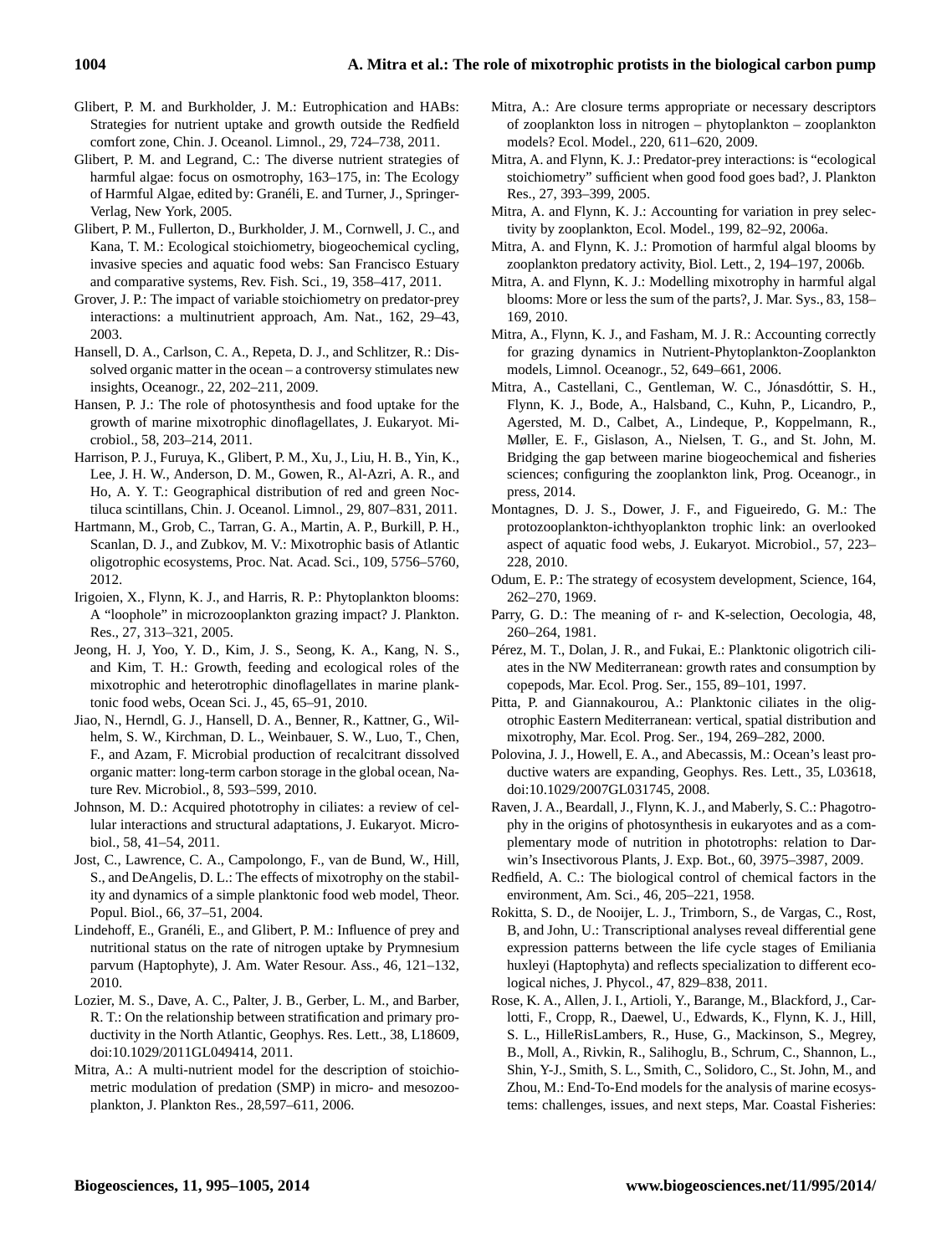- Glibert, P. M. and Burkholder, J. M.: Eutrophication and HABs: Strategies for nutrient uptake and growth outside the Redfield comfort zone, Chin. J. Oceanol. Limnol., 29, 724–738, 2011.
- Glibert, P. M. and Legrand, C.: The diverse nutrient strategies of harmful algae: focus on osmotrophy, 163-175, in: The Ecology of Harmful Algae, edited by: Granéli, E. and Turner, J., Springer-Verlag, New York, 2005.
- Glibert, P. M., Fullerton, D., Burkholder, J. M., Cornwell, J. C., and Kana, T. M.: Ecological stoichiometry, biogeochemical cycling, invasive species and aquatic food webs: San Francisco Estuary and comparative systems, Rev. Fish. Sci., 19, 358–417, 2011.
- Grover, J. P.: The impact of variable stoichiometry on predator-prey interactions: a multinutrient approach, Am. Nat., 162, 29–43, 2003.
- Hansell, D. A., Carlson, C. A., Repeta, D. J., and Schlitzer, R.: Dissolved organic matter in the ocean – a controversy stimulates new insights, Oceanogr., 22, 202–211, 2009.
- Hansen, P. J.: The role of photosynthesis and food uptake for the growth of marine mixotrophic dinoflagellates, J. Eukaryot. Microbiol., 58, 203–214, 2011.
- Harrison, P. J., Furuya, K., Glibert, P. M., Xu, J., Liu, H. B., Yin, K., Lee, J. H. W., Anderson, D. M., Gowen, R., Al-Azri, A. R., and Ho, A. Y. T.: Geographical distribution of red and green Noctiluca scintillans, Chin. J. Oceanol. Limnol., 29, 807–831, 2011.
- Hartmann, M., Grob, C., Tarran, G. A., Martin, A. P., Burkill, P. H., Scanlan, D. J., and Zubkov, M. V.: Mixotrophic basis of Atlantic oligotrophic ecosystems, Proc. Nat. Acad. Sci., 109, 5756–5760, 2012.
- Irigoien, X., Flynn, K. J., and Harris, R. P.: Phytoplankton blooms: A "loophole" in microzooplankton grazing impact? J. Plankton. Res., 27, 313–321, 2005.
- Jeong, H. J, Yoo, Y. D., Kim, J. S., Seong, K. A., Kang, N. S., and Kim, T. H.: Growth, feeding and ecological roles of the mixotrophic and heterotrophic dinoflagellates in marine planktonic food webs, Ocean Sci. J., 45, 65–91, 2010.
- Jiao, N., Herndl, G. J., Hansell, D. A., Benner, R., Kattner, G., Wilhelm, S. W., Kirchman, D. L., Weinbauer, S. W., Luo, T., Chen, F., and Azam, F. Microbial production of recalcitrant dissolved organic matter: long-term carbon storage in the global ocean, Nature Rev. Microbiol., 8, 593–599, 2010.
- Johnson, M. D.: Acquired phototrophy in ciliates: a review of cellular interactions and structural adaptations, J. Eukaryot. Microbiol., 58, 41–54, 2011.
- Jost, C., Lawrence, C. A., Campolongo, F., van de Bund, W., Hill, S., and DeAngelis, D. L.: The effects of mixotrophy on the stability and dynamics of a simple planktonic food web model, Theor. Popul. Biol., 66, 37–51, 2004.
- Lindehoff, E., Granéli, E., and Glibert, P. M.: Influence of prey and nutritional status on the rate of nitrogen uptake by Prymnesium parvum (Haptophyte), J. Am. Water Resour. Ass., 46, 121–132, 2010.
- Lozier, M. S., Dave, A. C., Palter, J. B., Gerber, L. M., and Barber, R. T.: On the relationship between stratification and primary productivity in the North Atlantic, Geophys. Res. Lett., 38, L18609, doi[:10.1029/2011GL049414,](http://dx.doi.org/10.1029/2011GL049414) 2011.
- Mitra, A.: A multi-nutrient model for the description of stoichiometric modulation of predation (SMP) in micro- and mesozooplankton, J. Plankton Res., 28,597–611, 2006.
- Mitra, A.: Are closure terms appropriate or necessary descriptors of zooplankton loss in nitrogen – phytoplankton – zooplankton models? Ecol. Model., 220, 611–620, 2009.
- Mitra, A. and Flynn, K. J.: Predator-prey interactions: is "ecological stoichiometry" sufficient when good food goes bad?, J. Plankton Res., 27, 393–399, 2005.
- Mitra, A. and Flynn, K. J.: Accounting for variation in prey selectivity by zooplankton, Ecol. Model., 199, 82–92, 2006a.
- Mitra, A. and Flynn, K. J.: Promotion of harmful algal blooms by zooplankton predatory activity, Biol. Lett., 2, 194–197, 2006b.
- Mitra, A. and Flynn, K. J.: Modelling mixotrophy in harmful algal blooms: More or less the sum of the parts?, J. Mar. Sys., 83, 158– 169, 2010.
- Mitra, A., Flynn, K. J., and Fasham, M. J. R.: Accounting correctly for grazing dynamics in Nutrient-Phytoplankton-Zooplankton models, Limnol. Oceanogr., 52, 649–661, 2006.
- Mitra, A., Castellani, C., Gentleman, W. C., Jónasdóttir, S. H., Flynn, K. J., Bode, A., Halsband, C., Kuhn, P., Licandro, P., Agersted, M. D., Calbet, A., Lindeque, P., Koppelmann, R., Møller, E. F., Gislason, A., Nielsen, T. G., and St. John, M. Bridging the gap between marine biogeochemical and fisheries sciences; configuring the zooplankton link, Prog. Oceanogr., in press, 2014.
- Montagnes, D. J. S., Dower, J. F., and Figueiredo, G. M.: The protozooplankton-ichthyoplankton trophic link: an overlooked aspect of aquatic food webs, J. Eukaryot. Microbiol., 57, 223– 228, 2010.
- Odum, E. P.: The strategy of ecosystem development, Science, 164, 262–270, 1969.
- Parry, G. D.: The meaning of r- and K-selection, Oecologia, 48, 260–264, 1981.
- Pérez, M. T., Dolan, J. R., and Fukai, E.: Planktonic oligotrich ciliates in the NW Mediterranean: growth rates and consumption by copepods, Mar. Ecol. Prog. Ser., 155, 89–101, 1997.
- Pitta, P. and Giannakourou, A.: Planktonic ciliates in the oligotrophic Eastern Mediterranean: vertical, spatial distribution and mixotrophy, Mar. Ecol. Prog. Ser., 194, 269–282, 2000.
- Polovina, J. J., Howell, E. A., and Abecassis, M.: Ocean's least productive waters are expanding, Geophys. Res. Lett., 35, L03618, doi[:10.1029/2007GL031745,](http://dx.doi.org/10.1029/2007GL031745) 2008.
- Raven, J. A., Beardall, J., Flynn, K. J., and Maberly, S. C.: Phagotrophy in the origins of photosynthesis in eukaryotes and as a complementary mode of nutrition in phototrophs: relation to Darwin's Insectivorous Plants, J. Exp. Bot., 60, 3975–3987, 2009.
- Redfield, A. C.: The biological control of chemical factors in the environment, Am. Sci., 46, 205–221, 1958.
- Rokitta, S. D., de Nooijer, L. J., Trimborn, S., de Vargas, C., Rost, B, and John, U.: Transcriptional analyses reveal differential gene expression patterns between the life cycle stages of Emiliania huxleyi (Haptophyta) and reflects specialization to different ecological niches, J. Phycol., 47, 829–838, 2011.
- Rose, K. A., Allen, J. I., Artioli, Y., Barange, M., Blackford, J., Carlotti, F., Cropp, R., Daewel, U., Edwards, K., Flynn, K. J., Hill, S. L., HilleRisLambers, R., Huse, G., Mackinson, S., Megrey, B., Moll, A., Rivkin, R., Salihoglu, B., Schrum, C., Shannon, L., Shin, Y-J., Smith, S. L., Smith, C., Solidoro, C., St. John, M., and Zhou, M.: End-To-End models for the analysis of marine ecosystems: challenges, issues, and next steps, Mar. Coastal Fisheries: